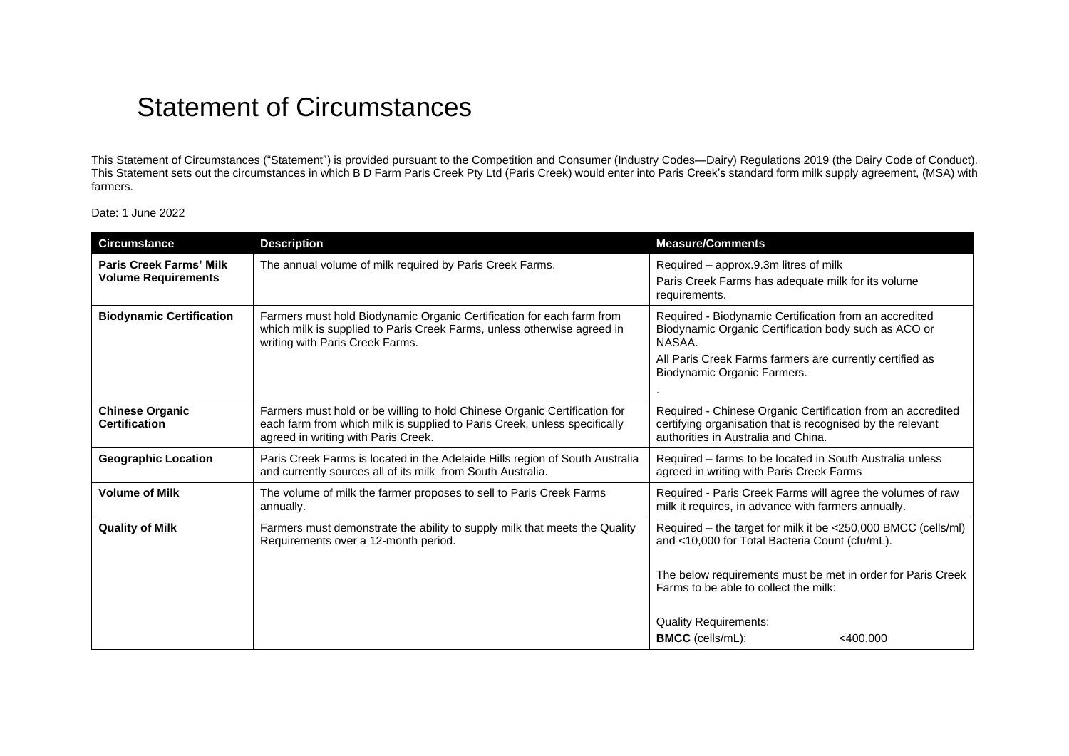## Statement of Circumstances

This Statement of Circumstances ("Statement") is provided pursuant to the Competition and Consumer (Industry Codes—Dairy) Regulations 2019 (the Dairy Code of Conduct). This Statement sets out the circumstances in which B D Farm Paris Creek Pty Ltd (Paris Creek) would enter into Paris Creek's standard form milk supply agreement, (MSA) with farmers.

Date: 1 June 2022

| <b>Circumstance</b>                                          | <b>Description</b>                                                                                                                                                                            | <b>Measure/Comments</b>                                                                                                                                                                                                 |  |
|--------------------------------------------------------------|-----------------------------------------------------------------------------------------------------------------------------------------------------------------------------------------------|-------------------------------------------------------------------------------------------------------------------------------------------------------------------------------------------------------------------------|--|
| <b>Paris Creek Farms' Milk</b><br><b>Volume Requirements</b> | The annual volume of milk required by Paris Creek Farms.                                                                                                                                      | Required - approx.9.3m litres of milk<br>Paris Creek Farms has adequate milk for its volume<br>requirements.                                                                                                            |  |
| <b>Biodynamic Certification</b>                              | Farmers must hold Biodynamic Organic Certification for each farm from<br>which milk is supplied to Paris Creek Farms, unless otherwise agreed in<br>writing with Paris Creek Farms.           | Required - Biodynamic Certification from an accredited<br>Biodynamic Organic Certification body such as ACO or<br>NASAA.<br>All Paris Creek Farms farmers are currently certified as<br>Biodynamic Organic Farmers.     |  |
| <b>Chinese Organic</b><br><b>Certification</b>               | Farmers must hold or be willing to hold Chinese Organic Certification for<br>each farm from which milk is supplied to Paris Creek, unless specifically<br>agreed in writing with Paris Creek. | Required - Chinese Organic Certification from an accredited<br>certifying organisation that is recognised by the relevant<br>authorities in Australia and China.                                                        |  |
| <b>Geographic Location</b>                                   | Paris Creek Farms is located in the Adelaide Hills region of South Australia<br>and currently sources all of its milk from South Australia.                                                   | Required – farms to be located in South Australia unless<br>agreed in writing with Paris Creek Farms                                                                                                                    |  |
| <b>Volume of Milk</b>                                        | The volume of milk the farmer proposes to sell to Paris Creek Farms<br>annually.                                                                                                              | Required - Paris Creek Farms will agree the volumes of raw<br>milk it requires, in advance with farmers annually.                                                                                                       |  |
| <b>Quality of Milk</b>                                       | Farmers must demonstrate the ability to supply milk that meets the Quality<br>Requirements over a 12-month period.                                                                            | Required - the target for milk it be <250,000 BMCC (cells/ml)<br>and <10,000 for Total Bacteria Count (cfu/mL).<br>The below requirements must be met in order for Paris Creek<br>Farms to be able to collect the milk: |  |
|                                                              |                                                                                                                                                                                               |                                                                                                                                                                                                                         |  |
|                                                              |                                                                                                                                                                                               | <b>Quality Requirements:</b><br><b>BMCC</b> (cells/mL):<br><400,000                                                                                                                                                     |  |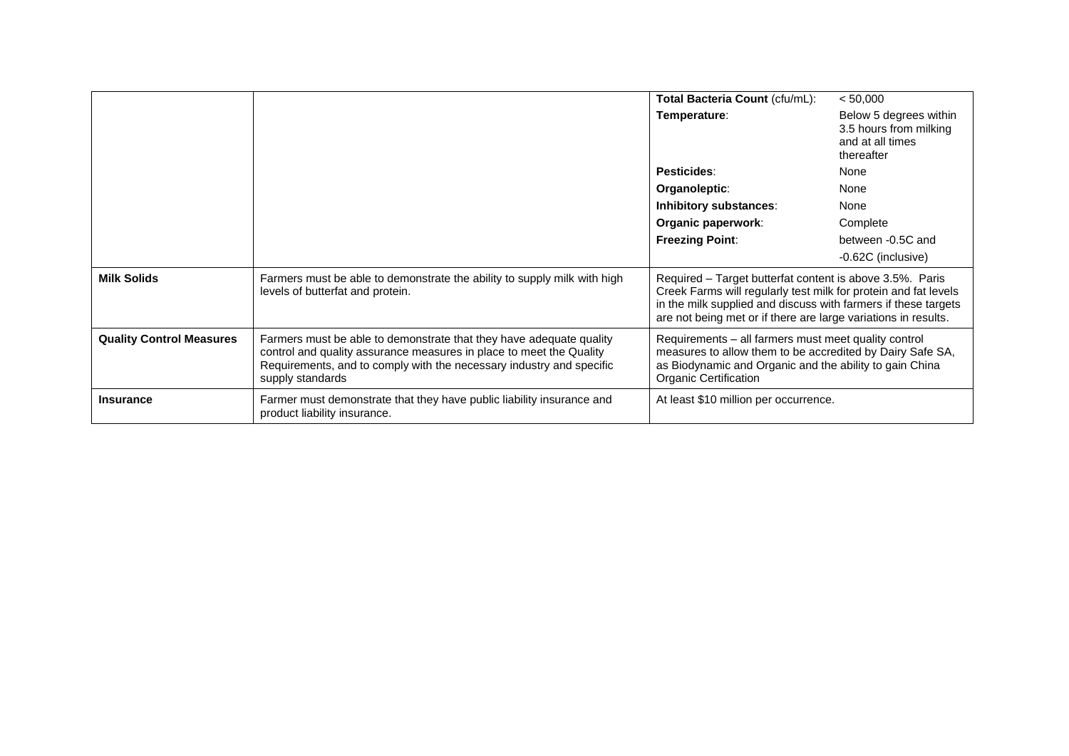|                                 |                                                                                                                                                                                                                                        | Total Bacteria Count (cfu/mL):                                                                                                                                                                                                                                  | < 50,000                                                                           |
|---------------------------------|----------------------------------------------------------------------------------------------------------------------------------------------------------------------------------------------------------------------------------------|-----------------------------------------------------------------------------------------------------------------------------------------------------------------------------------------------------------------------------------------------------------------|------------------------------------------------------------------------------------|
|                                 |                                                                                                                                                                                                                                        | Temperature:                                                                                                                                                                                                                                                    | Below 5 degrees within<br>3.5 hours from milking<br>and at all times<br>thereafter |
|                                 |                                                                                                                                                                                                                                        | Pesticides:                                                                                                                                                                                                                                                     | None                                                                               |
|                                 |                                                                                                                                                                                                                                        | Organoleptic:                                                                                                                                                                                                                                                   | None                                                                               |
|                                 |                                                                                                                                                                                                                                        | Inhibitory substances:                                                                                                                                                                                                                                          | None                                                                               |
|                                 |                                                                                                                                                                                                                                        | Organic paperwork:                                                                                                                                                                                                                                              | Complete                                                                           |
|                                 |                                                                                                                                                                                                                                        | <b>Freezing Point:</b>                                                                                                                                                                                                                                          | between -0.5C and                                                                  |
|                                 |                                                                                                                                                                                                                                        |                                                                                                                                                                                                                                                                 | -0.62C (inclusive)                                                                 |
| <b>Milk Solids</b>              | Farmers must be able to demonstrate the ability to supply milk with high<br>levels of butterfat and protein.                                                                                                                           | Required - Target butterfat content is above 3.5%. Paris<br>Creek Farms will regularly test milk for protein and fat levels<br>in the milk supplied and discuss with farmers if these targets<br>are not being met or if there are large variations in results. |                                                                                    |
| <b>Quality Control Measures</b> | Farmers must be able to demonstrate that they have adequate quality<br>control and quality assurance measures in place to meet the Quality<br>Requirements, and to comply with the necessary industry and specific<br>supply standards | Requirements - all farmers must meet quality control<br>measures to allow them to be accredited by Dairy Safe SA,<br>as Biodynamic and Organic and the ability to gain China<br>Organic Certification                                                           |                                                                                    |
| <b>Insurance</b>                | Farmer must demonstrate that they have public liability insurance and<br>product liability insurance.                                                                                                                                  | At least \$10 million per occurrence.                                                                                                                                                                                                                           |                                                                                    |